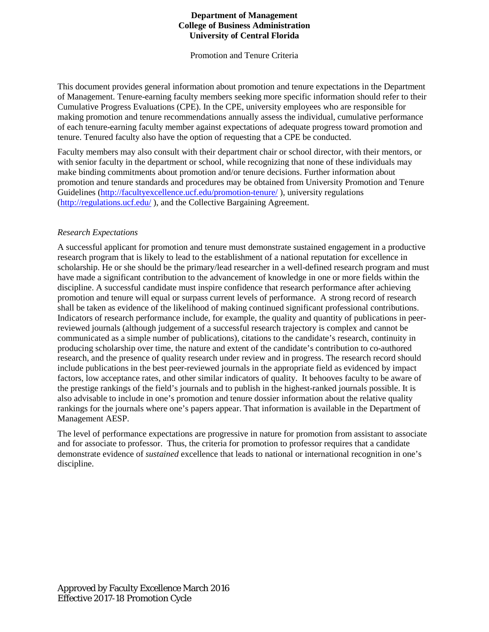## **Department of Management College of Business Administration University of Central Florida**

Promotion and Tenure Criteria

This document provides general information about promotion and tenure expectations in the Department of Management. Tenure-earning faculty members seeking more specific information should refer to their Cumulative Progress Evaluations (CPE). In the CPE, university employees who are responsible for making promotion and tenure recommendations annually assess the individual, cumulative performance of each tenure-earning faculty member against expectations of adequate progress toward promotion and tenure. Tenured faculty also have the option of requesting that a CPE be conducted.

Faculty members may also consult with their department chair or school director, with their mentors, or with senior faculty in the department or school, while recognizing that none of these individuals may make binding commitments about promotion and/or tenure decisions. Further information about promotion and tenure standards and procedures may be obtained from University Promotion and Tenure Guidelines [\(http://facultyexcellence.ucf.edu/promotion-tenure/](http://facultyexcellence.ucf.edu/promotion-tenure/) ), university regulations [\(http://regulations.ucf.edu/](http://regulations.ucf.edu/) ), and the Collective Bargaining Agreement.

## *Research Expectations*

A successful applicant for promotion and tenure must demonstrate sustained engagement in a productive research program that is likely to lead to the establishment of a national reputation for excellence in scholarship. He or she should be the primary/lead researcher in a well-defined research program and must have made a significant contribution to the advancement of knowledge in one or more fields within the discipline. A successful candidate must inspire confidence that research performance after achieving promotion and tenure will equal or surpass current levels of performance. A strong record of research shall be taken as evidence of the likelihood of making continued significant professional contributions. Indicators of research performance include, for example, the quality and quantity of publications in peerreviewed journals (although judgement of a successful research trajectory is complex and cannot be communicated as a simple number of publications), citations to the candidate's research, continuity in producing scholarship over time, the nature and extent of the candidate's contribution to co-authored research, and the presence of quality research under review and in progress. The research record should include publications in the best peer-reviewed journals in the appropriate field as evidenced by impact factors, low acceptance rates, and other similar indicators of quality. It behooves faculty to be aware of the prestige rankings of the field's journals and to publish in the highest-ranked journals possible. It is also advisable to include in one's promotion and tenure dossier information about the relative quality rankings for the journals where one's papers appear. That information is available in the Department of Management AESP.

The level of performance expectations are progressive in nature for promotion from assistant to associate and for associate to professor. Thus, the criteria for promotion to professor requires that a candidate demonstrate evidence of *sustained* excellence that leads to national or international recognition in one's discipline.